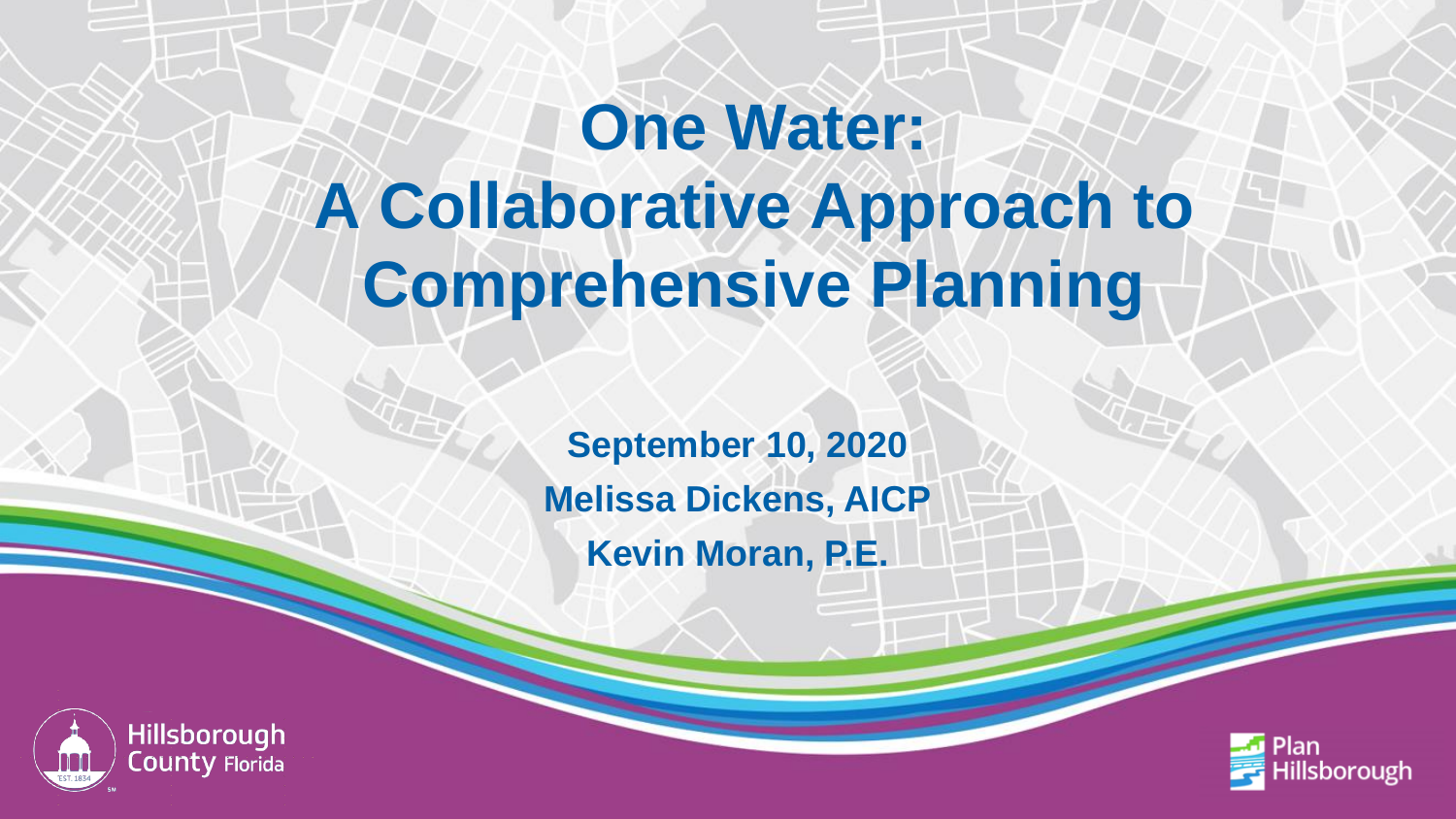**One Water: A Collaborative Approach to Comprehensive Planning**

> **September 10, 2020 Melissa Dickens, AICP Kevin Moran, P.E.**



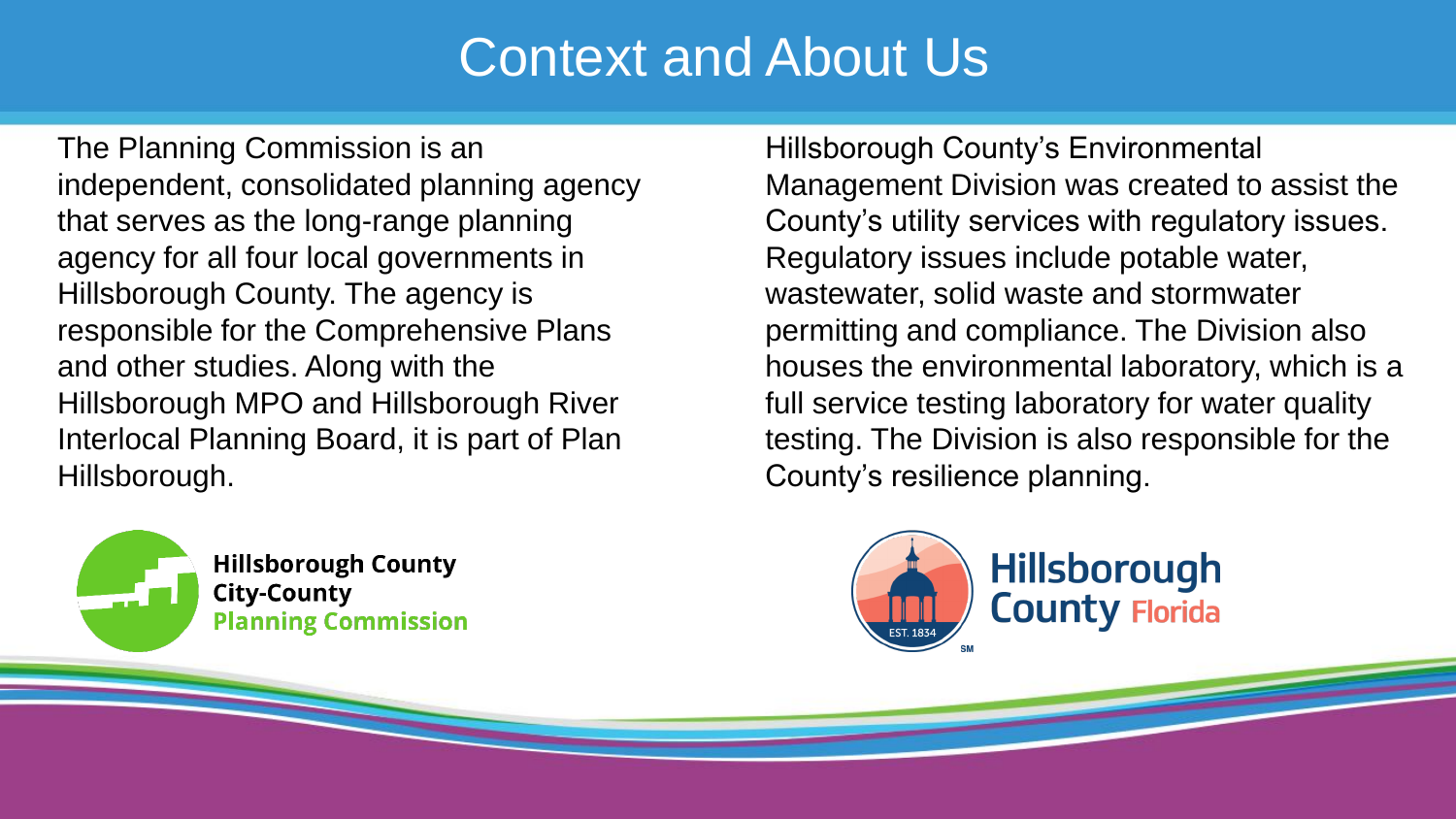## Context and About Us

The Planning Commission is an independent, consolidated planning agency that serves as the long-range planning agency for all four local governments in Hillsborough County. The agency is responsible for the Comprehensive Plans and other studies. Along with the Hillsborough MPO and Hillsborough River Interlocal Planning Board, it is part of Plan Hillsborough.



**Hillsborough County** City-County **Planning Commission** 

Hillsborough County's Environmental Management Division was created to assist the County's utility services with regulatory issues. Regulatory issues include potable water, wastewater, solid waste and stormwater permitting and compliance. The Division also houses the environmental laboratory, which is a full service testing laboratory for water quality testing. The Division is also responsible for the County's resilience planning.

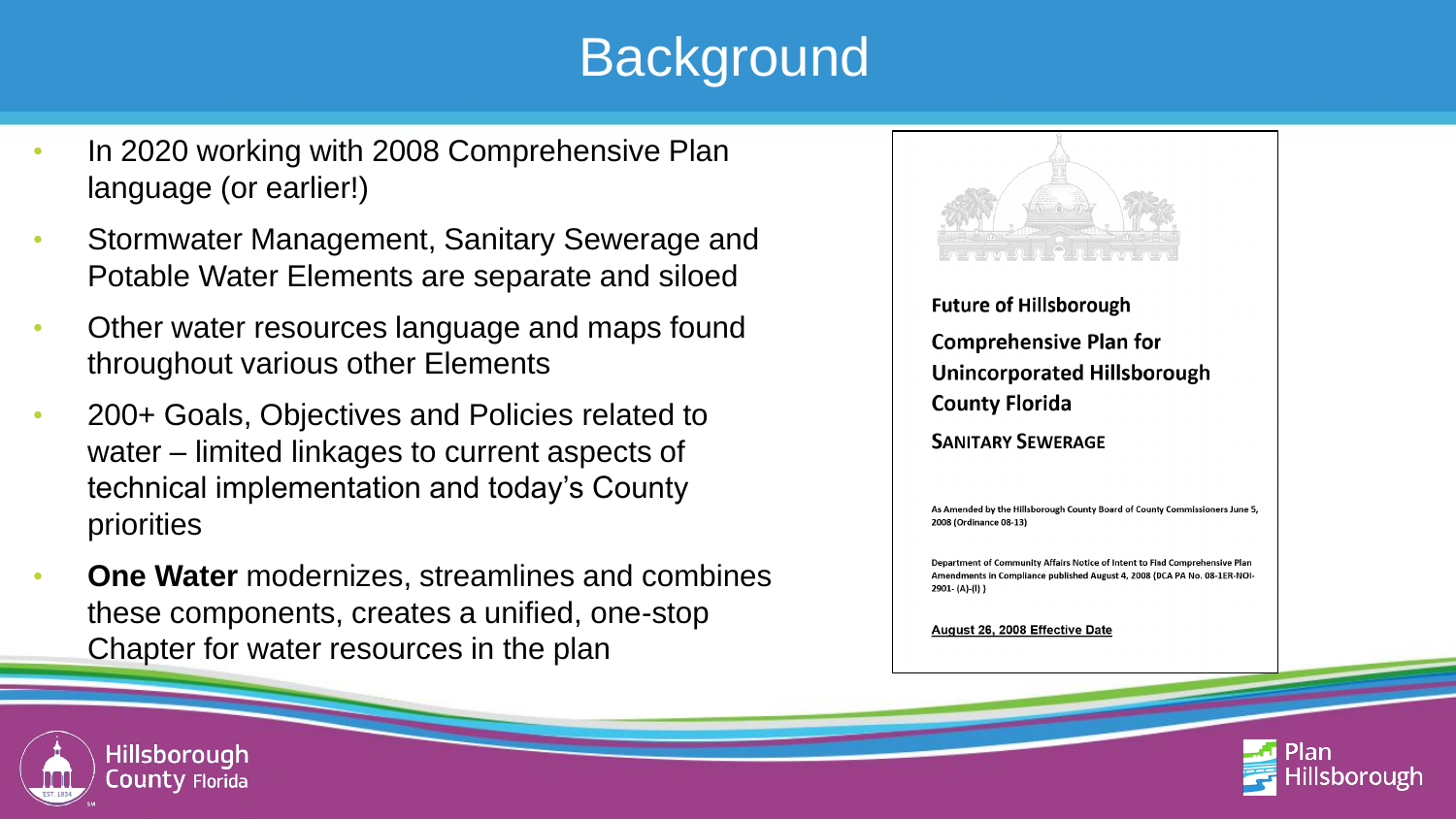# **Background**

- In 2020 working with 2008 Comprehensive Plan language (or earlier!)
- Stormwater Management, Sanitary Sewerage and Potable Water Elements are separate and siloed
- Other water resources language and maps found throughout various other Elements
- 200+ Goals, Objectives and Policies related to water – limited linkages to current aspects of technical implementation and today's County priorities
- **One Water** modernizes, streamlines and combines these components, creates a unified, one-stop Chapter for water resources in the plan





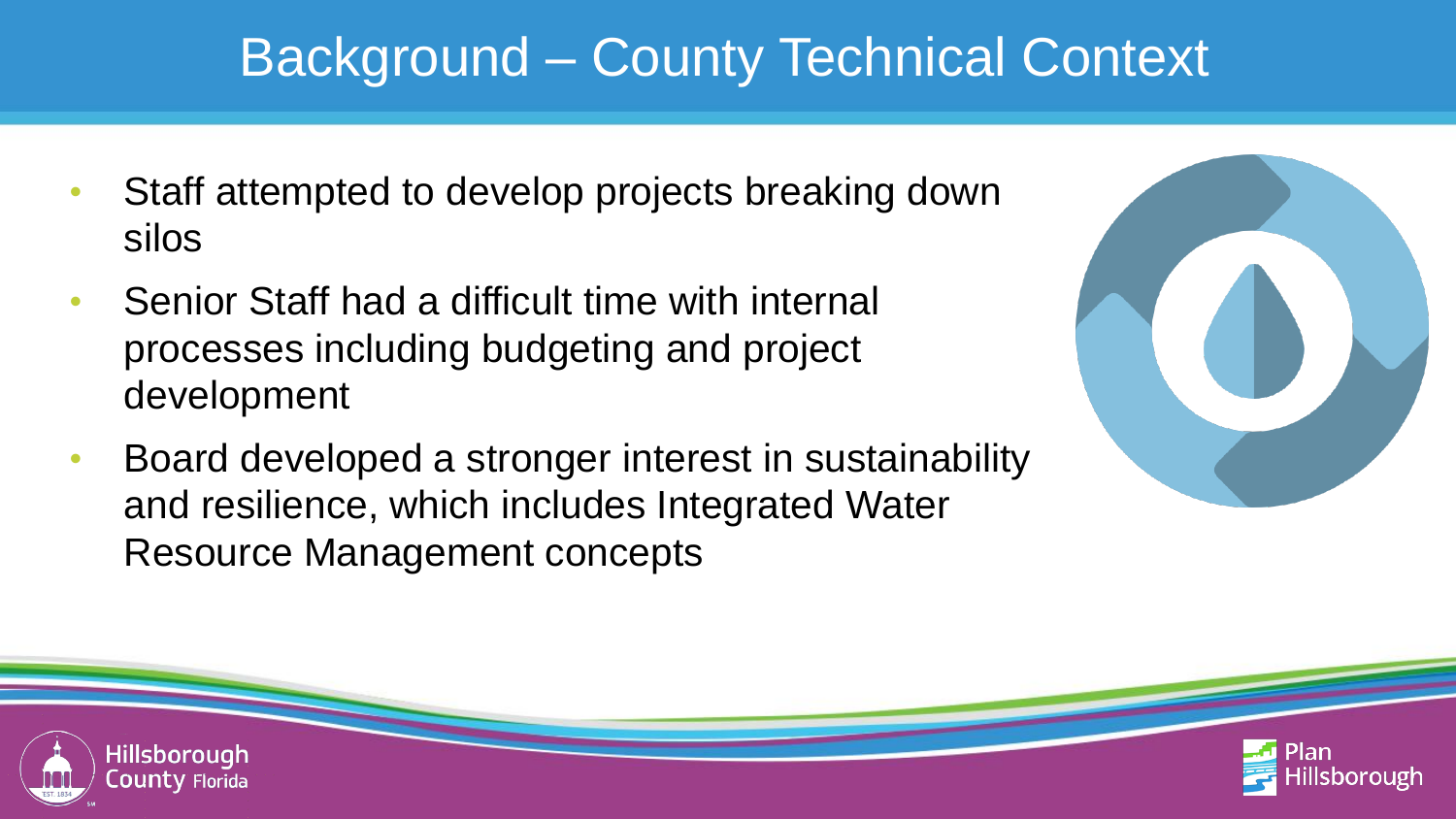# Background – County Technical Context

- Staff attempted to develop projects breaking down silos
- Senior Staff had a difficult time with internal processes including budgeting and project development
- Board developed a stronger interest in sustainability and resilience, which includes Integrated Water Resource Management concepts





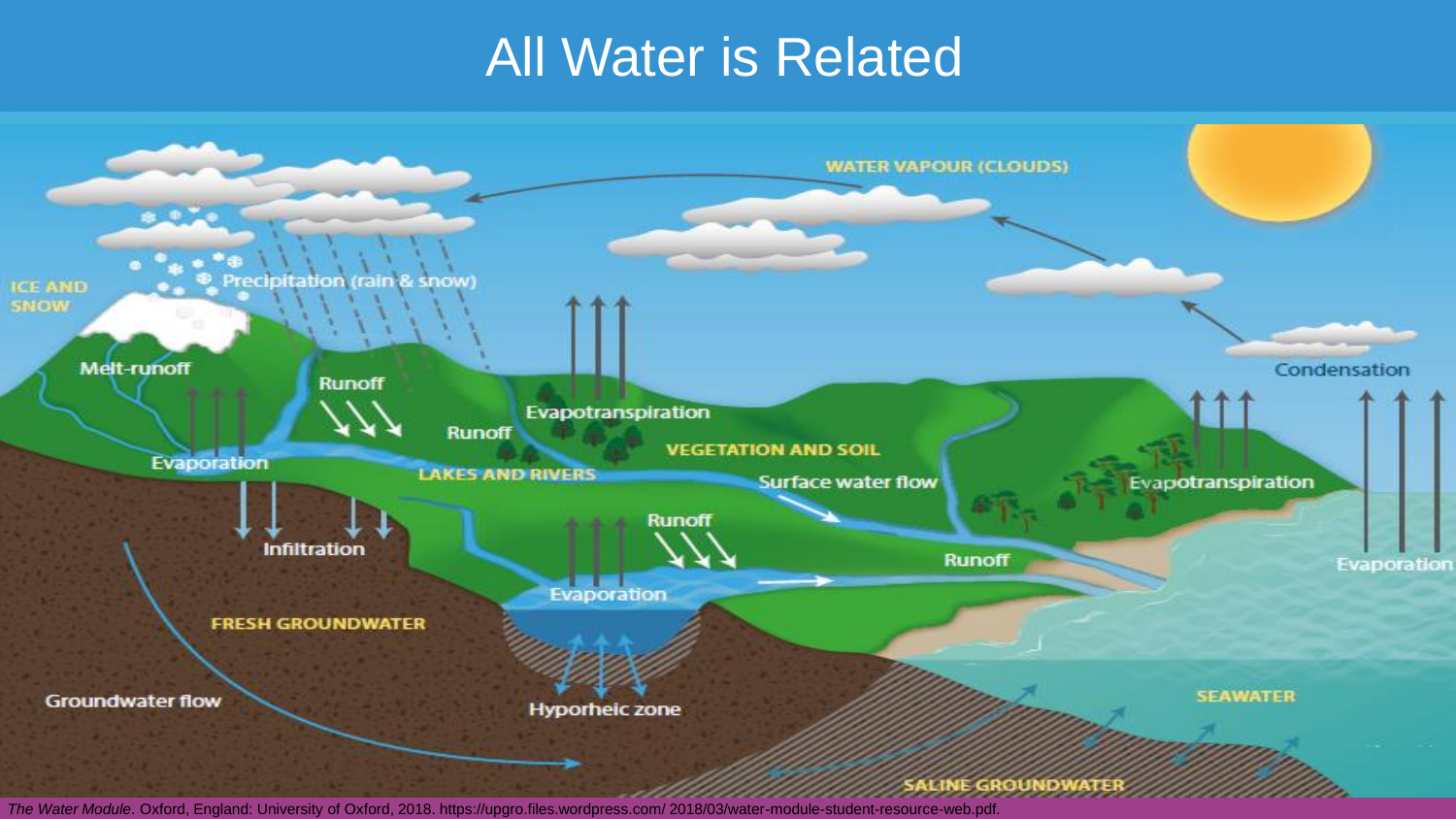### All Water is Related



*The Water Module*. Oxford, England: University of Oxford, 2018. https://upgro.files.wordpress.com/ 2018/03/water-module-student-resource-web.pdf.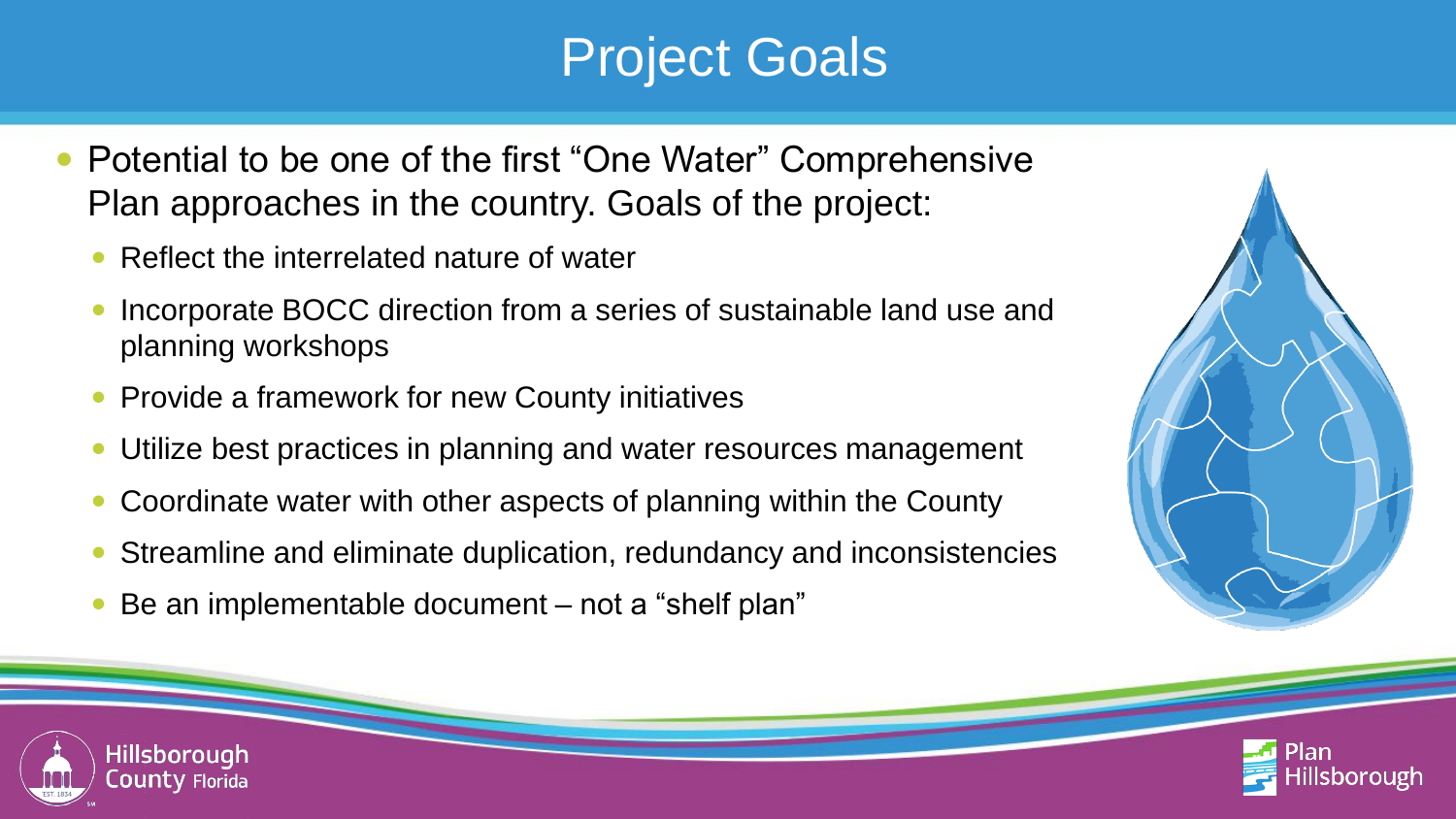# Project Goals

- Potential to be one of the first "One Water" Comprehensive Plan approaches in the country. Goals of the project:
	- Reflect the interrelated nature of water

**Hillsborough** County Florida

- Incorporate BOCC direction from a series of sustainable land use and planning workshops
- Provide a framework for new County initiatives
- Utilize best practices in planning and water resources management
- Coordinate water with other aspects of planning within the County
- Streamline and eliminate duplication, redundancy and inconsistencies
- Be an implementable document not a "shelf plan"



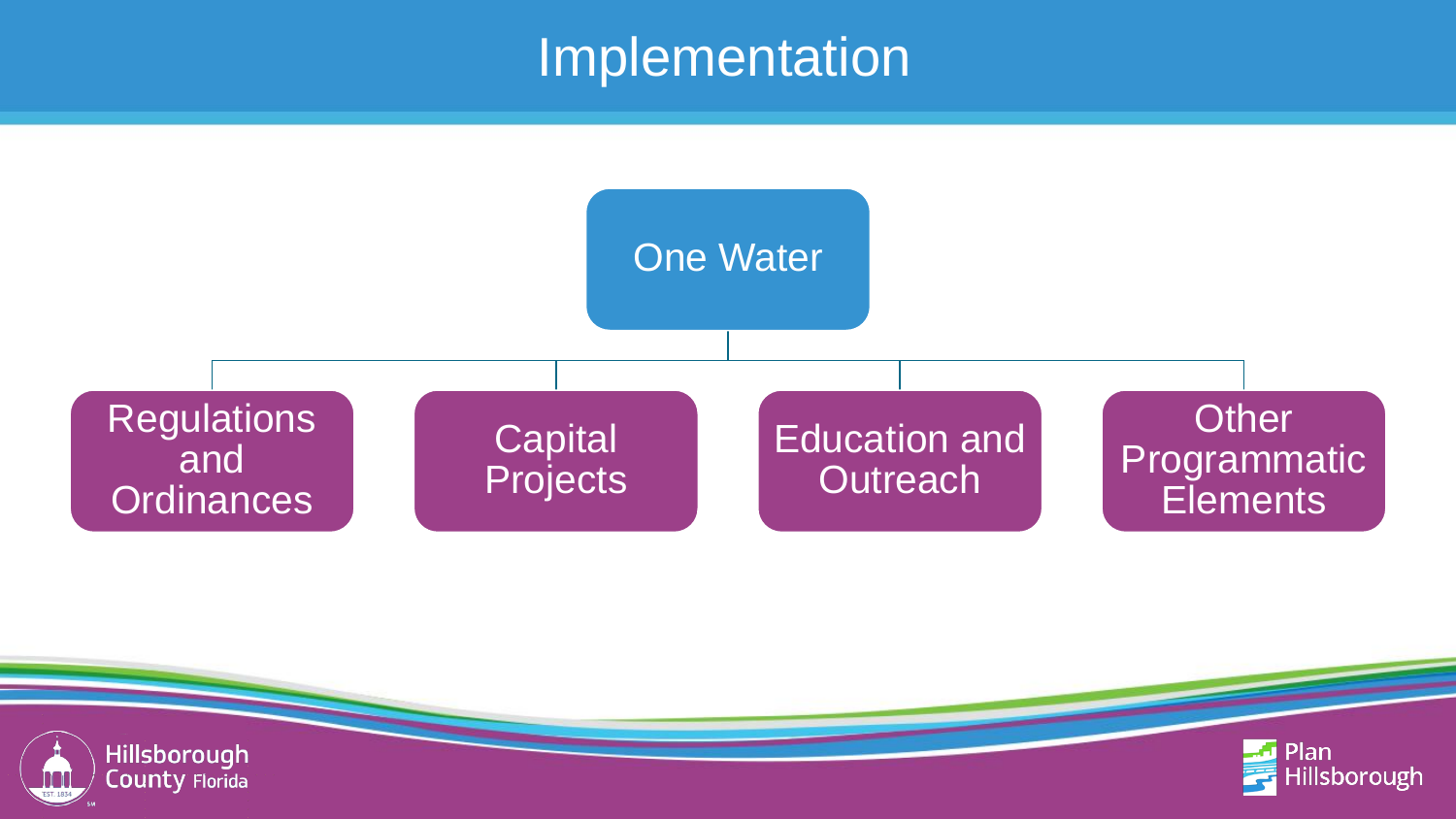## Implementation



**illsborough**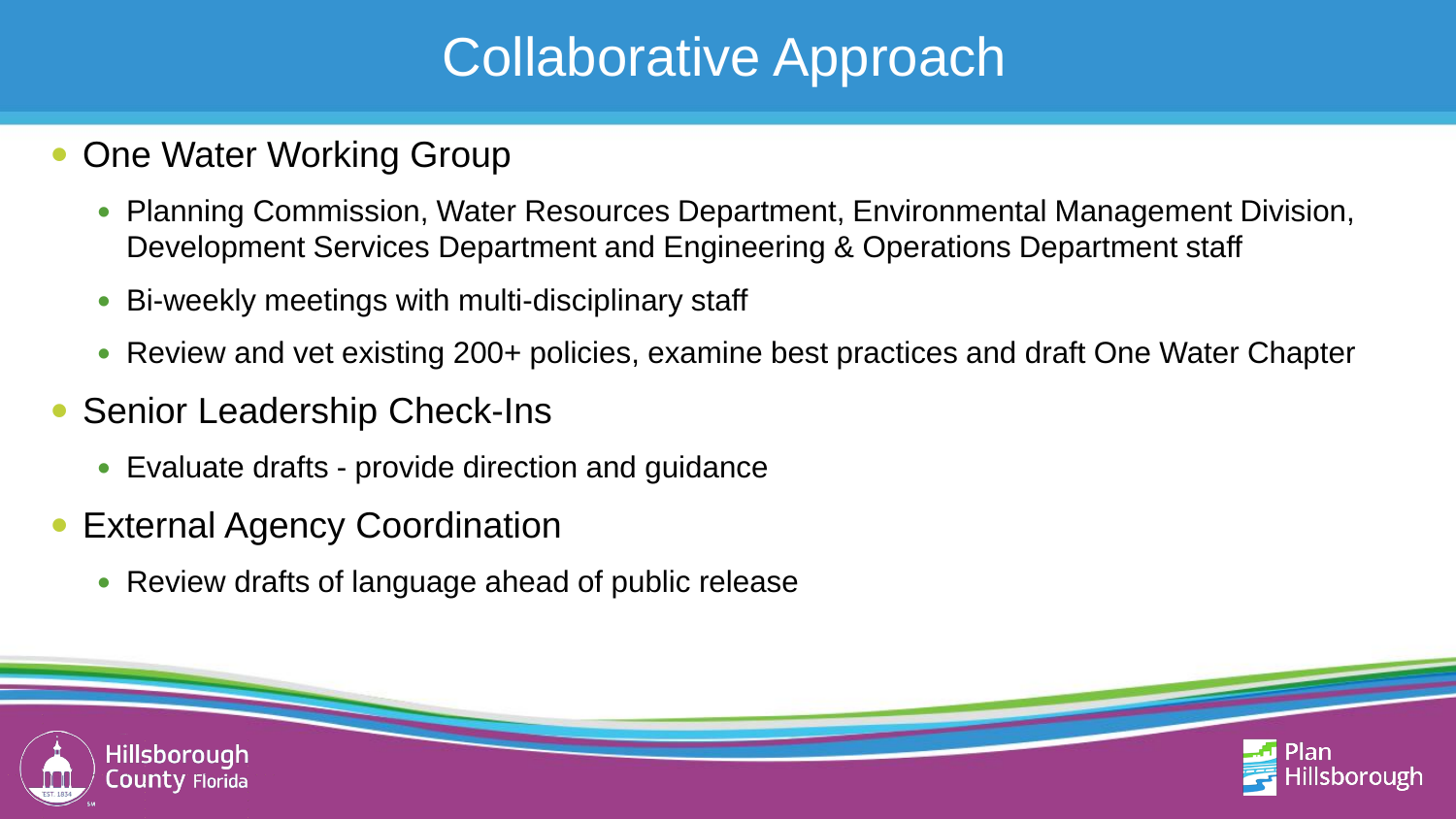## Collaborative Approach

#### • One Water Working Group

- Planning Commission, Water Resources Department, Environmental Management Division, Development Services Department and Engineering & Operations Department staff
- Bi-weekly meetings with multi-disciplinary staff
- Review and vet existing 200+ policies, examine best practices and draft One Water Chapter
- Senior Leadership Check-Ins
	- Evaluate drafts provide direction and guidance
- External Agency Coordination
	- Review drafts of language ahead of public release

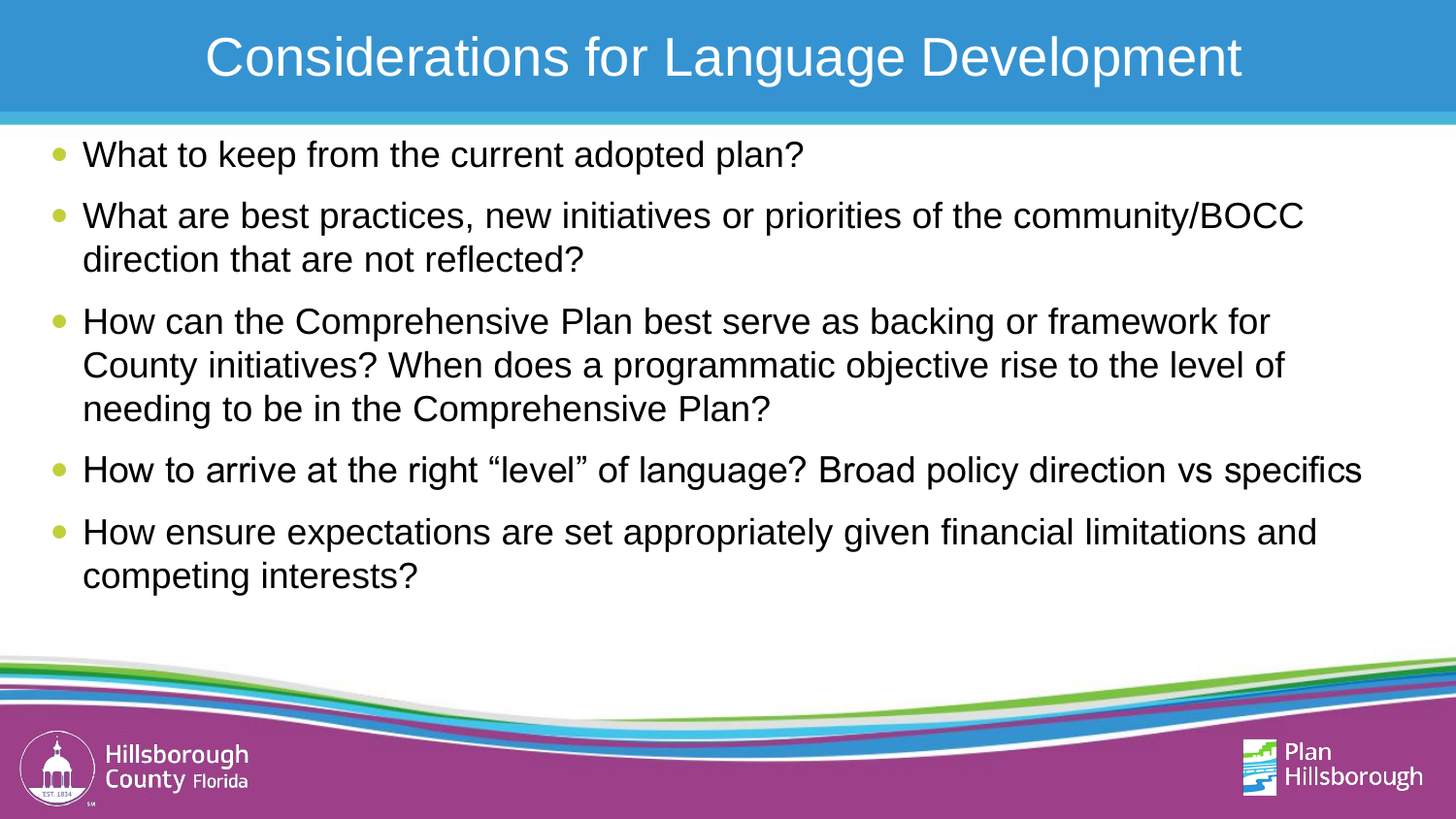## Considerations for Language Development

- What to keep from the current adopted plan?
- What are best practices, new initiatives or priorities of the community/BOCC direction that are not reflected?
- How can the Comprehensive Plan best serve as backing or framework for County initiatives? When does a programmatic objective rise to the level of needing to be in the Comprehensive Plan?
- How to arrive at the right "level" of language? Broad policy direction vs specifics
- How ensure expectations are set appropriately given financial limitations and competing interests?

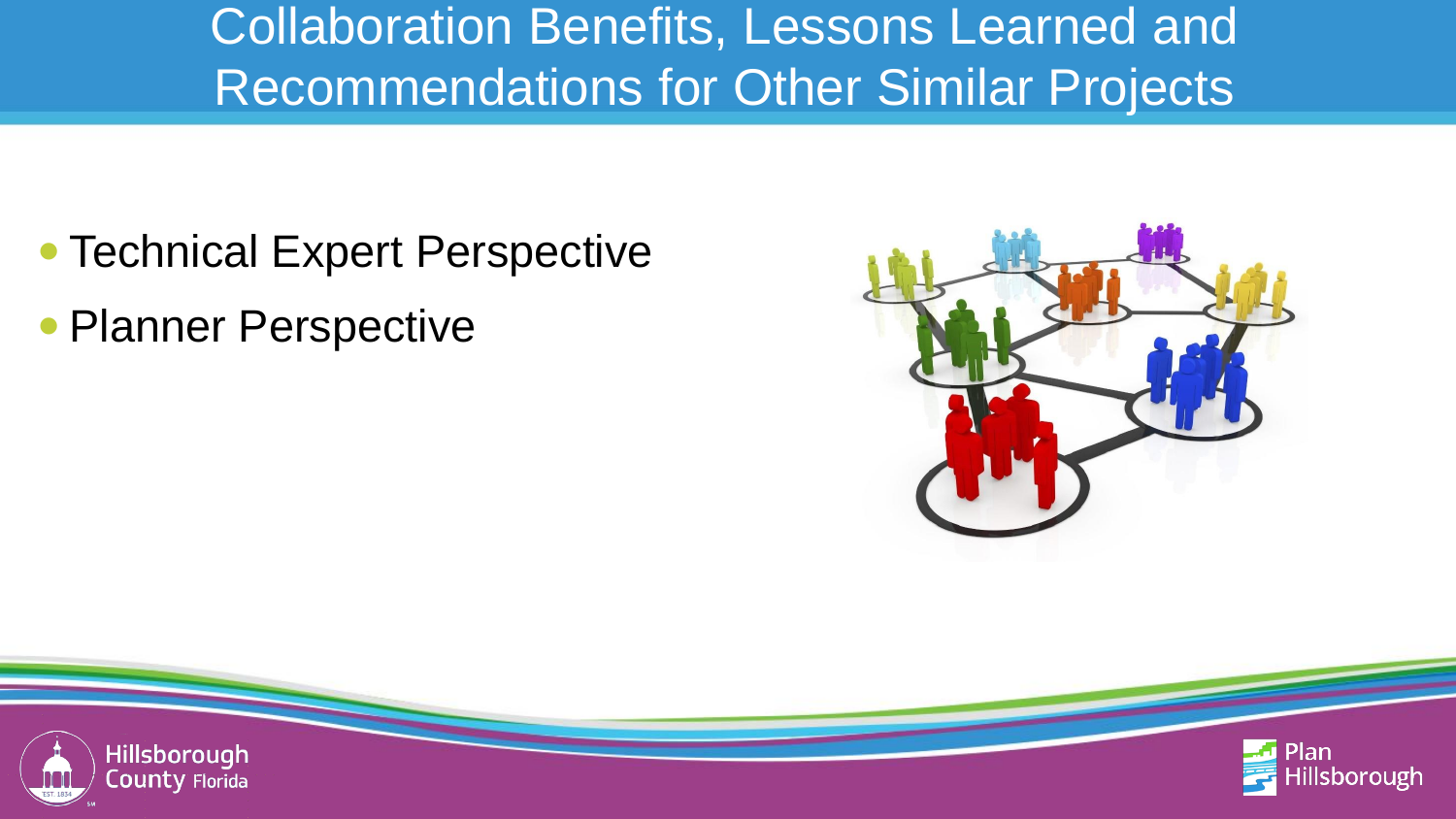Collaboration Benefits, Lessons Learned and Recommendations for Other Similar Projects

- Technical Expert Perspective
- Planner Perspective





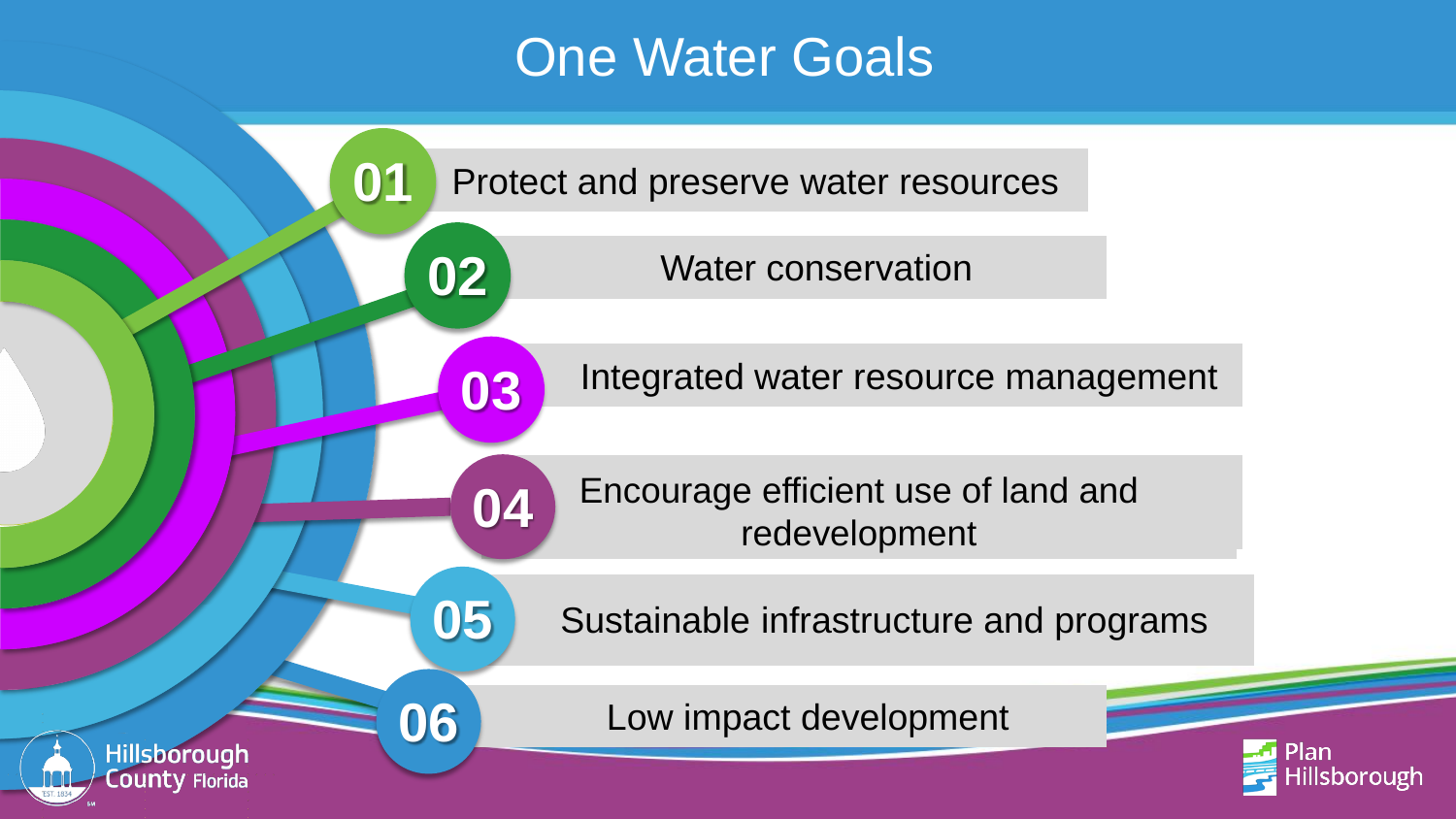## One Water Goals

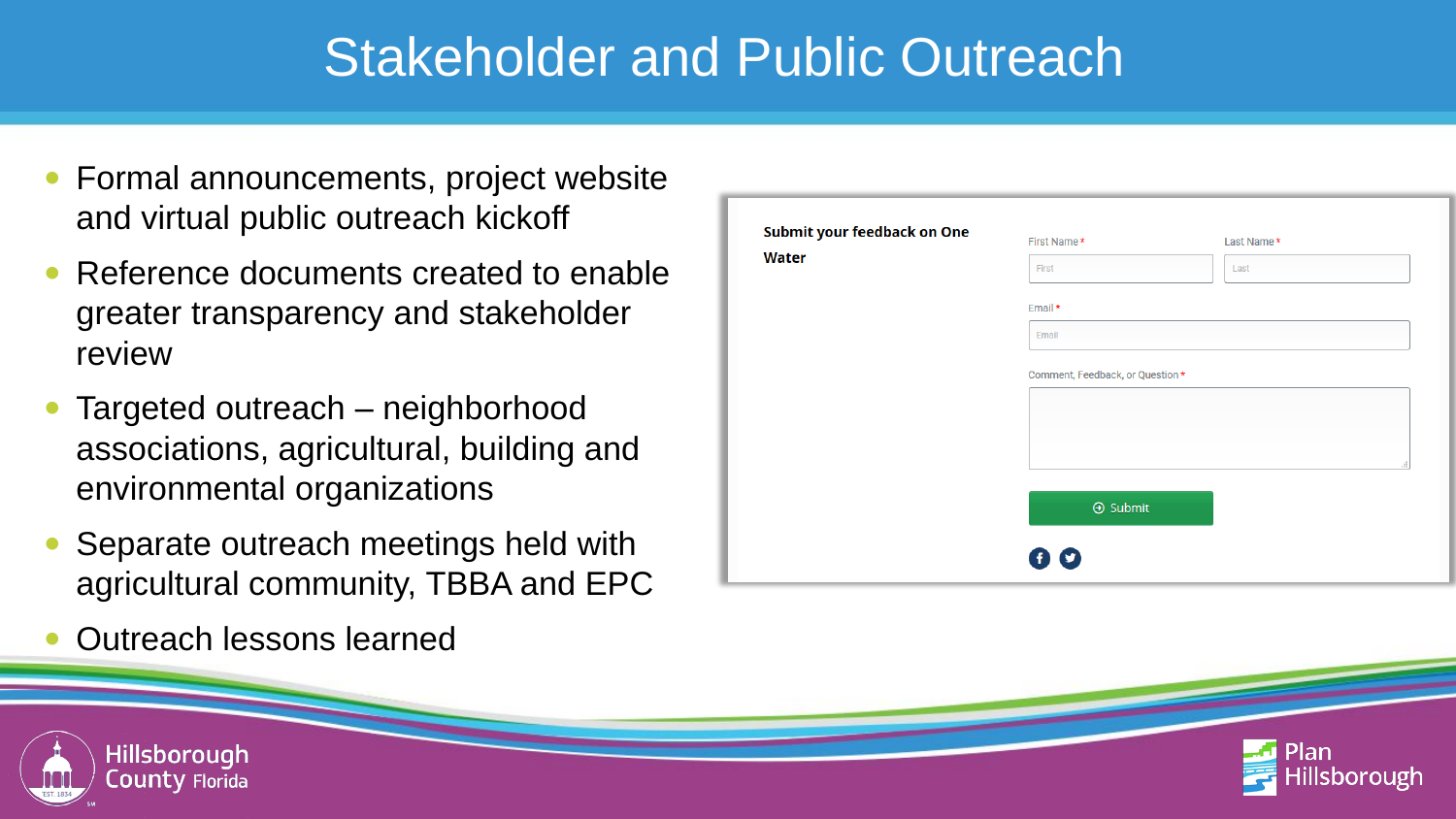## Stakeholder and Public Outreach

- Formal announcements, project website and virtual public outreach kickoff
- Reference documents created to enable greater transparency and stakeholder review
- Targeted outreach neighborhood associations, agricultural, building and environmental organizations
- Separate outreach meetings held with agricultural community, TBBA and EPC
- Outreach lessons learned

| Submit your feedback on One<br><b>Water</b> | First Name*<br>Last Name*<br>First<br>Last           |
|---------------------------------------------|------------------------------------------------------|
|                                             | Email *<br>Email<br>Comment, Feedback, or Question * |
|                                             | лÎ                                                   |
|                                             | $\Theta$ Submit<br>ø<br>$\mathbf{f}$                 |



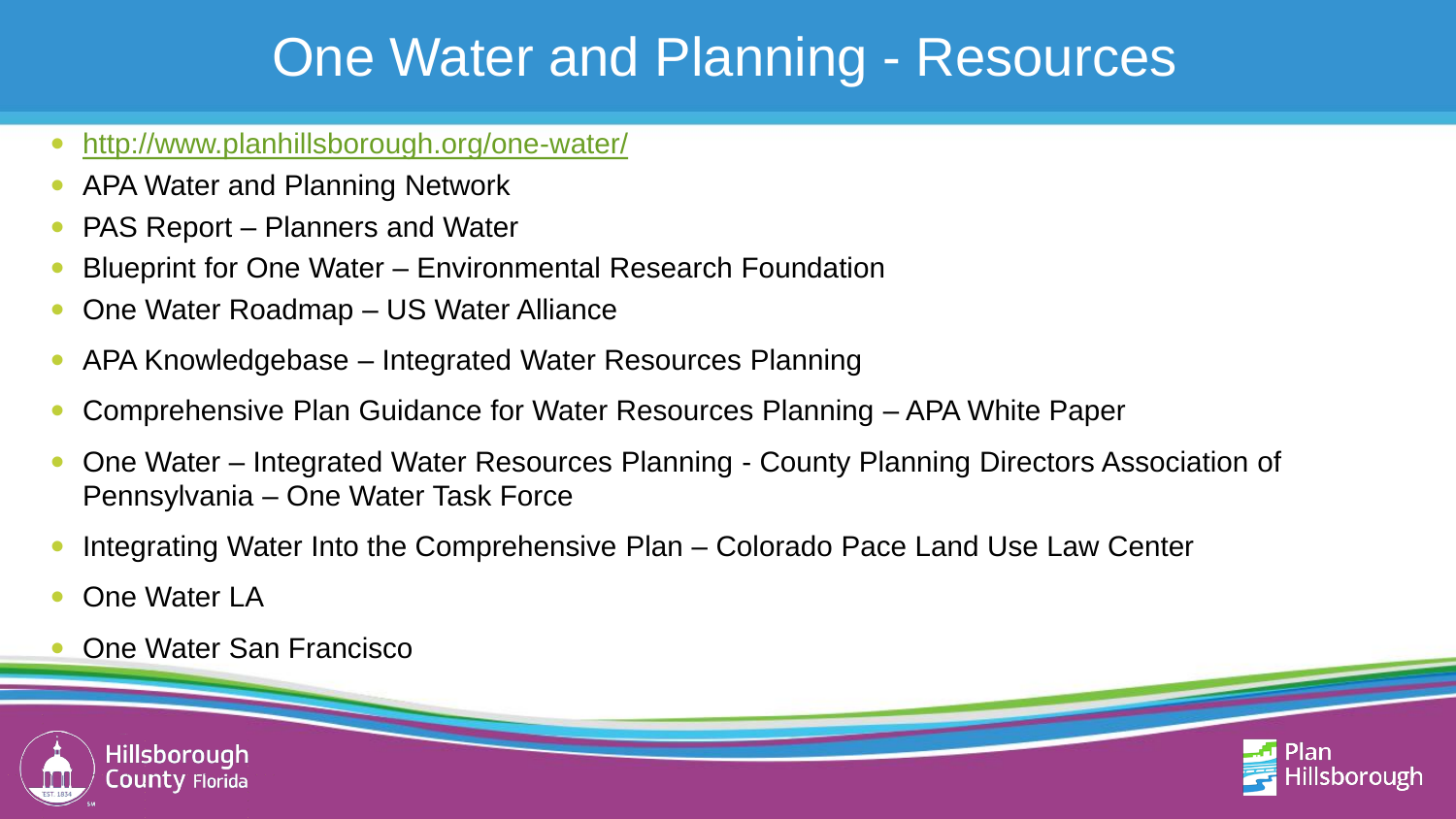## One Water and Planning - Resources

- <http://www.planhillsborough.org/one-water/>
- APA Water and Planning Network
- PAS Report Planners and Water
- Blueprint for One Water Environmental Research Foundation
- One Water Roadmap US Water Alliance
- APA Knowledgebase Integrated Water Resources Planning
- Comprehensive Plan Guidance for Water Resources Planning APA White Paper
- One Water Integrated Water Resources Planning County Planning Directors Association of Pennsylvania – One Water Task Force
- Integrating Water Into the Comprehensive Plan Colorado Pace Land Use Law Center
- One Water LA
- One Water San Francisco